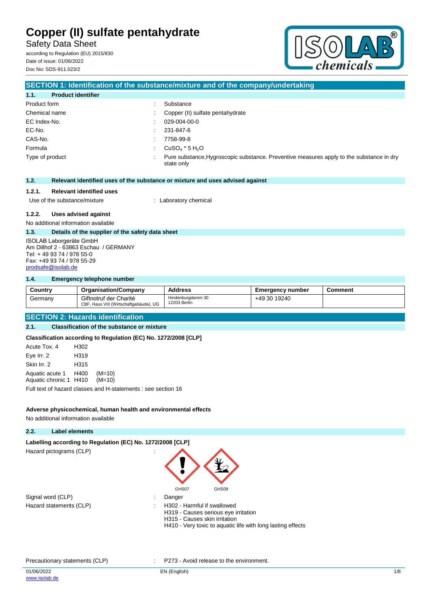Safety Data Sheet according to Regulation (EU) 2015/830

Date of issue: 01/06/2022 Doc No: SDS-911.023/2



### **SECTION 1: Identification of the substance/mixture and of the company/undertaking 1.1. Product identifier** Product form  $\qquad \qquad$ : Substance Chemical name : Copper (II) sulfate pentahydrate EC Index-No. : 029-004-00-0 EC-No. : 231-847-6 CAS-No. : 7758-99-8 Formula  $\qquad \qquad : \qquad \text{CuSO}_4 \times 5 \text{ H}_2\text{O}$ Type of product **interval in the substance, Hygroscopic substance**. Preventive measures apply to the substance in dry state only **1.2. Relevant identified uses of the substance or mixture and uses advised against 1.2.1. Relevant identified uses** Use of the substance/mixture : Laboratory chemical **1.2.2. Uses advised against** No additional information available **1.3. Details of the supplier of the safety data sheet** ISOLAB Laborgeräte GmbH Am Dillhof 2 - 63863 Eschau / GERMANY Tel: + 49 93 74 / 978 55-0

**1.4. Emergency telephone number**

Fax: +49 93 74 / 978 55-29 [prodsafe@isolab.de](mailto:prodsafe@isolab.de)

| Country | <b>Organisation/Company</b>                                      | <b>Address</b>                    | Emergency number | Comment |
|---------|------------------------------------------------------------------|-----------------------------------|------------------|---------|
| Germany | Giftnotruf der Charité<br>CBF, Haus VIII (Wirtschaftgebäude), UG | Hindenburgdamm 30<br>12203 Berlin | +49 30 19240     |         |

#### **SECTION 2: Hazards identification**

#### **2.1. Classification of the substance or mixture**

**Classification according to Regulation (EC) No. 1272/2008 [CLP]**

| Acute Tox, 4                                          | H302 |                                                               |
|-------------------------------------------------------|------|---------------------------------------------------------------|
| Eye Irr. 2                                            | H319 |                                                               |
| Skin Irr. 2                                           | H315 |                                                               |
| Aquatic acute 1 H400<br>Aquatic chronic 1 H410 (M=10) |      | $(M=10)$                                                      |
|                                                       |      | Full text of hazard classes and H-statements : see section 16 |

#### **Adverse physicochemical, human health and environmental effects**

No additional information available

### **2.2. Label elements**

Labelling according to Regulation (EC) No. 1272/2008 [CLP] Hazard pictograms (CLP) :

| Signal word (CLP)       | Danger        |
|-------------------------|---------------|
| Hazard statements (CLP) | $\div$ H302 - |



- - H302 Harmful if swallowed H319 - Causes serious eye irritation H315 - Causes skin irritation
	- H410 Very toxic to aquatic life with long lasting effects

#### Precautionary statements (CLP) : P273 - Avoid release to the environment.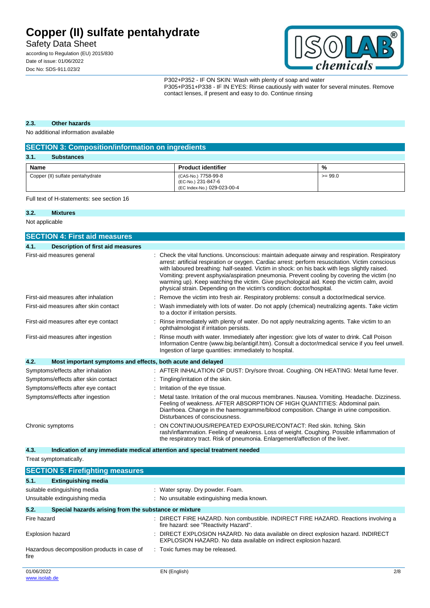Safety Data Sheet

according to Regulation (EU) 2015/830 Date of issue: 01/06/2022 Doc No: SDS-911.023/2



P302+P352 - IF ON SKIN: Wash with plenty of soap and water P305+P351+P338 - IF IN EYES: Rinse cautiously with water for several minutes. Remove contact lenses, if present and easy to do. Continue rinsing

#### **2.3. Other hazards**

No additional information available

| <b>SECTION 3: Composition/information on ingredients</b> |                                                                          |           |  |  |
|----------------------------------------------------------|--------------------------------------------------------------------------|-----------|--|--|
| 3.1.<br><b>Substances</b>                                |                                                                          |           |  |  |
| Name                                                     | <b>Product identifier</b>                                                | %         |  |  |
| Copper (II) sulfate pentahydrate                         | (CAS-No.) 7758-99-8<br>(EC-No.) 231-847-6<br>(EC Index-No.) 029-023-00-4 | $>= 99.0$ |  |  |

Full text of H-statements: see section 16

#### **3.2. Mixtures**

Not applicable

|                  | <b>SECTION 4: First aid measures</b>                        |                                                                                                                                                                                                                                                                                                                                                                                                                                                                                                                                                                            |
|------------------|-------------------------------------------------------------|----------------------------------------------------------------------------------------------------------------------------------------------------------------------------------------------------------------------------------------------------------------------------------------------------------------------------------------------------------------------------------------------------------------------------------------------------------------------------------------------------------------------------------------------------------------------------|
| 4.1.             | <b>Description of first aid measures</b>                    |                                                                                                                                                                                                                                                                                                                                                                                                                                                                                                                                                                            |
|                  | First-aid measures general                                  | Check the vital functions. Unconscious: maintain adequate airway and respiration. Respiratory<br>arrest: artificial respiration or oxygen. Cardiac arrest: perform resuscitation. Victim conscious<br>with laboured breathing: half-seated. Victim in shock: on his back with legs slightly raised.<br>Vomiting: prevent asphyxia/aspiration pneumonia. Prevent cooling by covering the victim (no<br>warming up). Keep watching the victim. Give psychological aid. Keep the victim calm, avoid<br>physical strain. Depending on the victim's condition: doctor/hospital. |
|                  | First-aid measures after inhalation                         | Remove the victim into fresh air. Respiratory problems: consult a doctor/medical service.                                                                                                                                                                                                                                                                                                                                                                                                                                                                                  |
|                  | First-aid measures after skin contact                       | Wash immediately with lots of water. Do not apply (chemical) neutralizing agents. Take victim<br>to a doctor if irritation persists.                                                                                                                                                                                                                                                                                                                                                                                                                                       |
|                  | First-aid measures after eye contact                        | Rinse immediately with plenty of water. Do not apply neutralizing agents. Take victim to an<br>ophthalmologist if irritation persists.                                                                                                                                                                                                                                                                                                                                                                                                                                     |
|                  | First-aid measures after ingestion                          | Rinse mouth with water. Immediately after ingestion: give lots of water to drink. Call Poison<br>Information Centre (www.big.be/antigif.htm). Consult a doctor/medical service if you feel unwell.<br>Ingestion of large quantities: immediately to hospital.                                                                                                                                                                                                                                                                                                              |
| 4.2.             | Most important symptoms and effects, both acute and delayed |                                                                                                                                                                                                                                                                                                                                                                                                                                                                                                                                                                            |
|                  | Symptoms/effects after inhalation                           | : AFTER INHALATION OF DUST: Dry/sore throat. Coughing. ON HEATING: Metal fume fever.                                                                                                                                                                                                                                                                                                                                                                                                                                                                                       |
|                  | Symptoms/effects after skin contact                         | Tingling/irritation of the skin.                                                                                                                                                                                                                                                                                                                                                                                                                                                                                                                                           |
|                  | Symptoms/effects after eye contact                          | Irritation of the eye tissue.                                                                                                                                                                                                                                                                                                                                                                                                                                                                                                                                              |
|                  | Symptoms/effects after ingestion                            | Metal taste. Irritation of the oral mucous membranes. Nausea. Vomiting. Headache. Dizziness.<br>Feeling of weakness. AFTER ABSORPTION OF HIGH QUANTITIES: Abdominal pain.<br>Diarrhoea. Change in the haemogramme/blood composition. Change in urine composition.<br>Disturbances of consciousness.                                                                                                                                                                                                                                                                        |
| Chronic symptoms |                                                             | ON CONTINUOUS/REPEATED EXPOSURE/CONTACT: Red skin. Itching. Skin<br>rash/inflammation. Feeling of weakness. Loss of weight. Coughing. Possible inflammation of<br>the respiratory tract. Risk of pneumonia. Enlargement/affection of the liver.                                                                                                                                                                                                                                                                                                                            |

**4.3. Indication of any immediate medical attention and special treatment needed**

Treat symptomatically.

|             | <b>SECTION 5: Firefighting measures</b>               |   |                                                                                                                                                      |     |
|-------------|-------------------------------------------------------|---|------------------------------------------------------------------------------------------------------------------------------------------------------|-----|
| 5.1.        | <b>Extinguishing media</b>                            |   |                                                                                                                                                      |     |
|             | suitable extinguishing media                          |   | : Water spray. Dry powder. Foam.                                                                                                                     |     |
|             | Unsuitable extinguishing media                        |   | : No unsuitable extinguishing media known.                                                                                                           |     |
| 5.2.        | Special hazards arising from the substance or mixture |   |                                                                                                                                                      |     |
| Fire hazard |                                                       |   | DIRECT FIRE HAZARD. Non combustible. INDIRECT FIRE HAZARD. Reactions involving a<br>fire hazard: see "Reactivity Hazard".                            |     |
|             | <b>Explosion hazard</b>                               | ÷ | DIRECT EXPLOSION HAZARD. No data available on direct explosion hazard. INDIRECT<br>EXPLOSION HAZARD. No data available on indirect explosion hazard. |     |
| fire        | Hazardous decomposition products in case of           |   | : Toxic fumes may be released.                                                                                                                       |     |
| 01/06/2022  |                                                       |   | EN (English)                                                                                                                                         | 2/8 |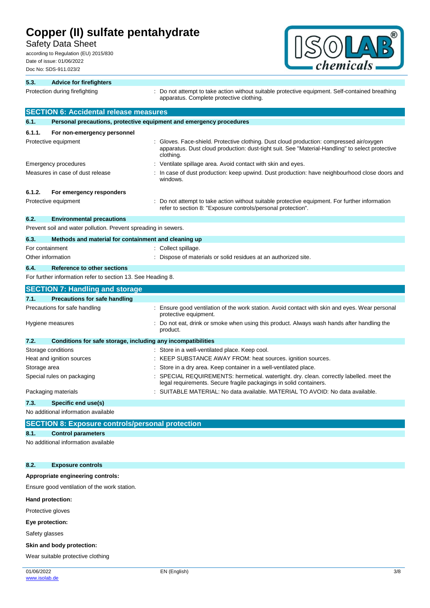Safety Data Sheet

according to Regulation (EU) 2015/830 Date of issue: 01/06/2022 Doc No: SDS-911.023/2



| 5.3.         | <b>Advice for firefighters</b>                                      |                                                                                                                                                                                                        |
|--------------|---------------------------------------------------------------------|--------------------------------------------------------------------------------------------------------------------------------------------------------------------------------------------------------|
|              | Protection during firefighting                                      | Do not attempt to take action without suitable protective equipment. Self-contained breathing<br>apparatus. Complete protective clothing.                                                              |
|              | <b>SECTION 6: Accidental release measures</b>                       |                                                                                                                                                                                                        |
| 6.1.         | Personal precautions, protective equipment and emergency procedures |                                                                                                                                                                                                        |
| 6.1.1.       | For non-emergency personnel                                         |                                                                                                                                                                                                        |
|              | Protective equipment                                                | Gloves. Face-shield. Protective clothing. Dust cloud production: compressed air/oxygen<br>apparatus. Dust cloud production: dust-tight suit. See "Material-Handling" to select protective<br>clothing. |
|              | Emergency procedures                                                | Ventilate spillage area. Avoid contact with skin and eyes.                                                                                                                                             |
|              | Measures in case of dust release                                    | In case of dust production: keep upwind. Dust production: have neighbourhood close doors and<br>windows.                                                                                               |
| 6.1.2.       | For emergency responders                                            |                                                                                                                                                                                                        |
|              | Protective equipment                                                | Do not attempt to take action without suitable protective equipment. For further information<br>refer to section 8: "Exposure controls/personal protection".                                           |
| 6.2.         | <b>Environmental precautions</b>                                    |                                                                                                                                                                                                        |
|              | Prevent soil and water pollution. Prevent spreading in sewers.      |                                                                                                                                                                                                        |
| 6.3.         | Methods and material for containment and cleaning up                |                                                                                                                                                                                                        |
|              | For containment                                                     | Collect spillage.                                                                                                                                                                                      |
|              | Other information                                                   | Dispose of materials or solid residues at an authorized site.                                                                                                                                          |
| 6.4.         | <b>Reference to other sections</b>                                  |                                                                                                                                                                                                        |
|              | For further information refer to section 13. See Heading 8.         |                                                                                                                                                                                                        |
|              | <b>SECTION 7: Handling and storage</b>                              |                                                                                                                                                                                                        |
| 7.1.         | <b>Precautions for safe handling</b>                                |                                                                                                                                                                                                        |
|              | Precautions for safe handling                                       | Ensure good ventilation of the work station. Avoid contact with skin and eyes. Wear personal<br>protective equipment.                                                                                  |
|              | Hygiene measures                                                    | Do not eat, drink or smoke when using this product. Always wash hands after handling the<br>product.                                                                                                   |
| 7.2.         | Conditions for safe storage, including any incompatibilities        |                                                                                                                                                                                                        |
|              | Storage conditions                                                  | Store in a well-ventilated place. Keep cool.                                                                                                                                                           |
|              | Heat and ignition sources                                           | KEEP SUBSTANCE AWAY FROM: heat sources. ignition sources.                                                                                                                                              |
| Storage area |                                                                     | Store in a dry area. Keep container in a well-ventilated place.                                                                                                                                        |
|              | Special rules on packaging                                          | SPECIAL REQUIREMENTS: hermetical. watertight. dry. clean. correctly labelled. meet the<br>legal requirements. Secure fragile packagings in solid containers.                                           |
|              | Packaging materials                                                 | SUITABLE MATERIAL: No data available. MATERIAL TO AVOID: No data available.                                                                                                                            |
| 7.3.         | Specific end use(s)                                                 |                                                                                                                                                                                                        |
|              | No additional information available                                 |                                                                                                                                                                                                        |
|              | <b>SECTION 8: Exposure controls/personal protection</b>             |                                                                                                                                                                                                        |

#### **8.1. Control parameters**

No additional information available

#### **8.2. Exposure controls**

#### **Appropriate engineering controls:**

Ensure good ventilation of the work station.

#### **Hand protection:**

Protective gloves

#### **Eye protection:**

Safety glasses

#### **Skin and body protection:**

Wear suitable protective clothing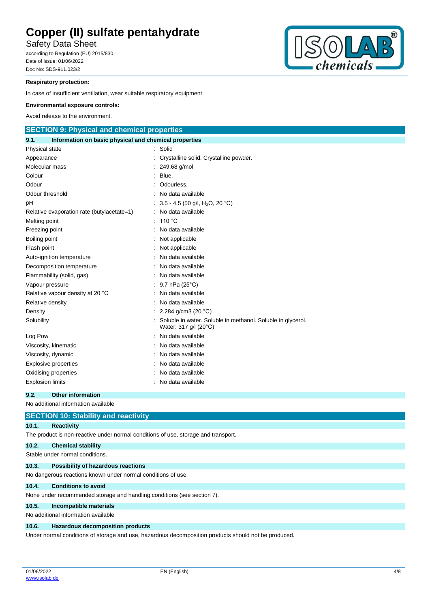Safety Data Sheet

according to Regulation (EU) 2015/830 Date of issue: 01/06/2022 Doc No: SDS-911.023/2



#### **Respiratory protection:**

In case of insufficient ventilation, wear suitable respiratory equipment

#### **Environmental exposure controls:**

Avoid release to the environment.

| <b>SECTION 9: Physical and chemical properties</b>            |  |                                                                                      |  |  |
|---------------------------------------------------------------|--|--------------------------------------------------------------------------------------|--|--|
| Information on basic physical and chemical properties<br>9.1. |  |                                                                                      |  |  |
| Physical state                                                |  | Solid                                                                                |  |  |
| Appearance                                                    |  | Crystalline solid. Crystalline powder.                                               |  |  |
| Molecular mass                                                |  | 249.68 g/mol                                                                         |  |  |
| Colour                                                        |  | Blue.                                                                                |  |  |
| Odour                                                         |  | Odourless.                                                                           |  |  |
| Odour threshold                                               |  | No data available                                                                    |  |  |
| рH                                                            |  | 3.5 - 4.5 (50 g/l, H <sub>2</sub> O, 20 °C)                                          |  |  |
| Relative evaporation rate (butylacetate=1)                    |  | No data available                                                                    |  |  |
| Melting point                                                 |  | 110 $\degree$ C                                                                      |  |  |
| Freezing point                                                |  | No data available                                                                    |  |  |
| Boiling point                                                 |  | Not applicable                                                                       |  |  |
| Flash point                                                   |  | Not applicable                                                                       |  |  |
| Auto-ignition temperature                                     |  | No data available                                                                    |  |  |
| Decomposition temperature                                     |  | No data available                                                                    |  |  |
| Flammability (solid, gas)                                     |  | No data available                                                                    |  |  |
| Vapour pressure                                               |  | 9.7 hPa (25°C)                                                                       |  |  |
| Relative vapour density at 20 °C                              |  | No data available                                                                    |  |  |
| Relative density                                              |  | No data available                                                                    |  |  |
| Density                                                       |  | 2.284 g/cm3 (20 $°C$ )                                                               |  |  |
| Solubility                                                    |  | Soluble in water. Soluble in methanol. Soluble in glycerol.<br>Water: 317 g/l (20°C) |  |  |
| Log Pow                                                       |  | No data available                                                                    |  |  |
| Viscosity, kinematic                                          |  | No data available                                                                    |  |  |
| Viscosity, dynamic                                            |  | No data available                                                                    |  |  |
| <b>Explosive properties</b>                                   |  | No data available                                                                    |  |  |
| Oxidising properties                                          |  | No data available                                                                    |  |  |
| <b>Explosion limits</b>                                       |  | No data available                                                                    |  |  |

#### **9.2. Other information**

No additional information available

|       | <b>SECTION 10: Stability and reactivity</b>                                                          |
|-------|------------------------------------------------------------------------------------------------------|
| 10.1. | <b>Reactivity</b>                                                                                    |
|       | The product is non-reactive under normal conditions of use, storage and transport.                   |
| 10.2. | <b>Chemical stability</b>                                                                            |
|       | Stable under normal conditions.                                                                      |
| 10.3. | Possibility of hazardous reactions                                                                   |
|       | No dangerous reactions known under normal conditions of use.                                         |
| 10.4. | <b>Conditions to avoid</b>                                                                           |
|       | None under recommended storage and handling conditions (see section 7).                              |
| 10.5. | Incompatible materials                                                                               |
|       | No additional information available                                                                  |
| 10.6. | <b>Hazardous decomposition products</b>                                                              |
|       | Under normal conditions of storage and use, hazardous decomposition products should not be produced. |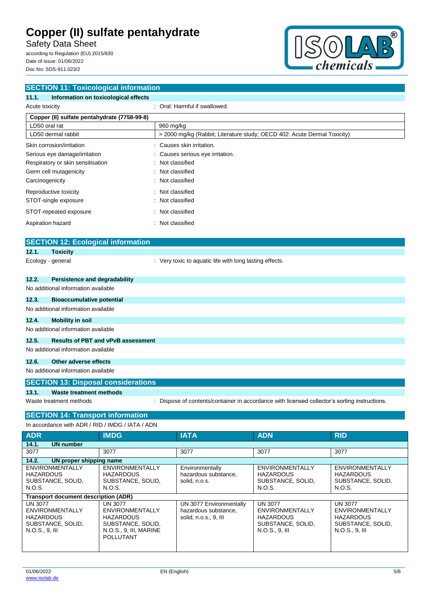Safety Data Sheet

according to Regulation (EU) 2015/830 Date of issue: 01/06/2022 Doc No: SDS-911.023/2



| <b>SECTION 11: Toxicological information</b>                                                                           |                                                                          |            |            |  |
|------------------------------------------------------------------------------------------------------------------------|--------------------------------------------------------------------------|------------|------------|--|
| 11.1.<br>Information on toxicological effects                                                                          |                                                                          |            |            |  |
| Acute toxicity                                                                                                         | : Oral: Harmful if swallowed.                                            |            |            |  |
| Copper (II) sulfate pentahydrate (7758-99-8)                                                                           |                                                                          |            |            |  |
| LD50 oral rat                                                                                                          | 960 mg/kg                                                                |            |            |  |
| LD50 dermal rabbit                                                                                                     | > 2000 mg/kg (Rabbit; Literature study; OECD 402: Acute Dermal Toxicity) |            |            |  |
| Skin corrosion/irritation                                                                                              | Causes skin irritation.                                                  |            |            |  |
| Serious eye damage/irritation                                                                                          | Causes serious eye irritation.                                           |            |            |  |
| Respiratory or skin sensitisation                                                                                      | Not classified                                                           |            |            |  |
| Germ cell mutagenicity                                                                                                 | Not classified                                                           |            |            |  |
| Carcinogenicity                                                                                                        | Not classified                                                           |            |            |  |
| Reproductive toxicity                                                                                                  | Not classified                                                           |            |            |  |
| STOT-single exposure                                                                                                   | Not classified                                                           |            |            |  |
| STOT-repeated exposure                                                                                                 | Not classified                                                           |            |            |  |
| Aspiration hazard                                                                                                      | Not classified                                                           |            |            |  |
|                                                                                                                        |                                                                          |            |            |  |
| <b>SECTION 12: Ecological information</b>                                                                              |                                                                          |            |            |  |
| 12.1.<br><b>Toxicity</b>                                                                                               |                                                                          |            |            |  |
| Ecology - general                                                                                                      | : Very toxic to aquatic life with long lasting effects.                  |            |            |  |
| 12.2.<br>Persistence and degradability                                                                                 |                                                                          |            |            |  |
| No additional information available                                                                                    |                                                                          |            |            |  |
| 12.3.<br><b>Bioaccumulative potential</b>                                                                              |                                                                          |            |            |  |
| No additional information available                                                                                    |                                                                          |            |            |  |
| 12.4.<br><b>Mobility in soil</b>                                                                                       |                                                                          |            |            |  |
| No additional information available                                                                                    |                                                                          |            |            |  |
| 12.5.<br><b>Results of PBT and vPvB assessment</b>                                                                     |                                                                          |            |            |  |
| No additional information available                                                                                    |                                                                          |            |            |  |
| <b>Other adverse effects</b><br>12.6.                                                                                  |                                                                          |            |            |  |
| No additional information available                                                                                    |                                                                          |            |            |  |
| <b>SECTION 13: Disposal considerations</b>                                                                             |                                                                          |            |            |  |
| 13.1.<br><b>Waste treatment methods</b>                                                                                |                                                                          |            |            |  |
| Dispose of contents/container in accordance with licensed collector's sorting instructions.<br>Waste treatment methods |                                                                          |            |            |  |
| <b>SECTION 14: Transport information</b>                                                                               |                                                                          |            |            |  |
| In accordance with ADR / RID / IMDG / IATA / ADN                                                                       |                                                                          |            |            |  |
| <b>IMDG</b><br><b>ADR</b>                                                                                              | <b>IATA</b>                                                              | <b>ADN</b> | <b>RID</b> |  |
| 14.1.<br><b>UN</b> number                                                                                              |                                                                          |            |            |  |
| 3077<br>3077                                                                                                           | 3077                                                                     | 3077       | 3077       |  |

| UN proper shipping name<br>14.2.                                                             |                                                                                                                   |                                                                          |                                                                                                       |                                                                                       |
|----------------------------------------------------------------------------------------------|-------------------------------------------------------------------------------------------------------------------|--------------------------------------------------------------------------|-------------------------------------------------------------------------------------------------------|---------------------------------------------------------------------------------------|
| <b>ENVIRONMENTALLY</b><br><b>HAZARDOUS</b><br>SUBSTANCE, SOLID,                              | <b>ENVIRONMENTALLY</b><br><b>HAZARDOUS</b><br>SUBSTANCE, SOLID,                                                   | Environmentally<br>hazardous substance,<br>solid, n.o.s.                 | <b>ENVIRONMENTALLY</b><br><b>HAZARDOUS</b><br>SUBSTANCE, SOLID,                                       | <b>ENVIRONMENTALLY</b><br><b>HAZARDOUS</b><br>SUBSTANCE, SOLID,                       |
| N.O.S.                                                                                       | N.O.S.                                                                                                            |                                                                          | N.O.S.                                                                                                | N.O.S.                                                                                |
| Transport document description (ADR)                                                         |                                                                                                                   |                                                                          |                                                                                                       |                                                                                       |
| <b>UN 3077</b><br>ENVIRONMENTALLY<br><b>HAZARDOUS</b><br>SUBSTANCE, SOLID,<br>N.O.S., 9, III | <b>UN 3077</b><br>ENVIRONMENTALLY<br><b>HAZARDOUS</b><br>SUBSTANCE, SOLID,<br>N.O.S., 9, III, MARINE<br>POLLUTANT | UN 3077 Environmentally<br>hazardous substance,<br>solid, n.o.s., 9, III | <b>UN 3077</b><br><b>ENVIRONMENTALLY</b><br><b>HAZARDOUS</b><br>SUBSTANCE, SOLID.<br>$N.O.S., 9.$ III | UN 3077<br>ENVIRONMENTALLY<br><b>HAZARDOUS</b><br>SUBSTANCE, SOLID,<br>N.O.S., 9, III |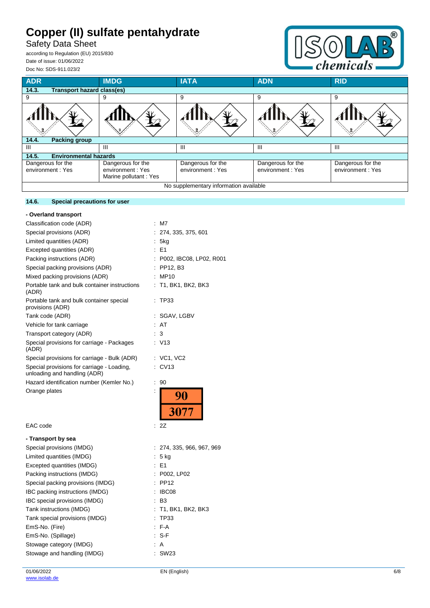Safety Data Sheet

according to Regulation (EU) 2015/830 Date of issue: 01/06/2022 Doc No: SDS-911.023/2



| <b>ADR</b>                                 | <b>IMDG</b>                                                    | <b>IATA</b>                           | <b>ADN</b>                            | <b>RID</b>                            |  |  |  |
|--------------------------------------------|----------------------------------------------------------------|---------------------------------------|---------------------------------------|---------------------------------------|--|--|--|
| 14.3.<br><b>Transport hazard class(es)</b> |                                                                |                                       |                                       |                                       |  |  |  |
| 9                                          | 9                                                              | 9                                     | 9                                     | 9                                     |  |  |  |
|                                            |                                                                |                                       |                                       |                                       |  |  |  |
| <b>Packing group</b><br>14.4.              |                                                                |                                       |                                       |                                       |  |  |  |
| Ш                                          | Ш                                                              | Ш                                     | Ш                                     | Ш                                     |  |  |  |
| <b>Environmental hazards</b><br>14.5.      |                                                                |                                       |                                       |                                       |  |  |  |
| Dangerous for the<br>environment : Yes     | Dangerous for the<br>environment: Yes<br>Marine pollutant: Yes | Dangerous for the<br>environment: Yes | Dangerous for the<br>environment: Yes | Dangerous for the<br>environment: Yes |  |  |  |
| No supplementary information available     |                                                                |                                       |                                       |                                       |  |  |  |

| - Overland transport                                                       |                           |
|----------------------------------------------------------------------------|---------------------------|
| Classification code (ADR)                                                  | $:$ M7                    |
| Special provisions (ADR)                                                   | 274, 335, 375, 601        |
| Limited quantities (ADR)                                                   | 5kg<br>÷.                 |
| Excepted quantities (ADR)                                                  | $E = 51$                  |
| Packing instructions (ADR)                                                 | : P002, IBC08, LP02, R001 |
| Special packing provisions (ADR)                                           | $:$ PP12, B3              |
| Mixed packing provisions (ADR)                                             | MP10<br>÷.                |
| Portable tank and bulk container instructions<br>(ADR)                     | : T1, BK1, BK2, BK3       |
| Portable tank and bulk container special<br>provisions (ADR)               | : TP33                    |
| Tank code (ADR)                                                            | : SGAV, LGBV              |
| Vehicle for tank carriage                                                  | : AT                      |
| Transport category (ADR)                                                   | 3                         |
| Special provisions for carriage - Packages<br>(ADR)                        | : V13                     |
| Special provisions for carriage - Bulk (ADR)                               | $:$ VC1, VC2              |
| Special provisions for carriage - Loading,<br>unloading and handling (ADR) | CV13                      |
| Hazard identification number (Kemler No.)                                  | ÷<br>90                   |
| Orange plates                                                              | İ<br>90<br>3077           |
| EAC code                                                                   | 2Z<br>÷.                  |
| - Transport by sea                                                         |                           |
| Special provisions (IMDG)                                                  | : 274, 335, 966, 967, 969 |
| Limited quantities (IMDG)                                                  | 5 kg                      |
| Excepted quantities (IMDG)                                                 | E1                        |
| Packing instructions (IMDG)                                                | : P002, LP02              |
| Special packing provisions (IMDG)                                          | <b>PP12</b>               |

IBC packing instructions (IMDG) : IBC08 IBC special provisions (IMDG) : B3

Tank special provisions (IMDG) : TP33 EmS-No. (Fire) : F-A EmS-No. (Spillage) : S-F Stowage category (IMDG)  $\qquad \qquad$ : A Stowage and handling (IMDG) : SW23

Tank instructions (IMDG) : T1, BK1, BK2, BK3

# **14.6. Special precautions for user**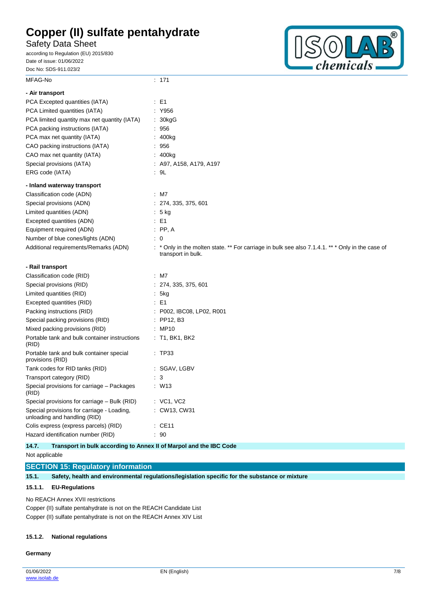Safety Data Sheet

according to Regulation (EU) 2015/830 Date of issue: 01/06/2022 Doc No: SDS-911.023/2



| MFAG-No                                                                    | : 171                                                                                                                |
|----------------------------------------------------------------------------|----------------------------------------------------------------------------------------------------------------------|
| - Air transport                                                            |                                                                                                                      |
| PCA Excepted quantities (IATA)                                             | : E1                                                                                                                 |
| PCA Limited quantities (IATA)                                              | : Y956                                                                                                               |
| PCA limited quantity max net quantity (IATA)                               | : 30kgG                                                                                                              |
| PCA packing instructions (IATA)                                            | : 956                                                                                                                |
| PCA max net quantity (IATA)                                                | 400kg                                                                                                                |
| CAO packing instructions (IATA)                                            | : 956                                                                                                                |
| CAO max net quantity (IATA)                                                | : 400kg                                                                                                              |
| Special provisions (IATA)                                                  | : A97, A158, A179, A197                                                                                              |
| ERG code (IATA)                                                            | : 9L                                                                                                                 |
| - Inland waterway transport                                                |                                                                                                                      |
| Classification code (ADN)                                                  | $:$ M7                                                                                                               |
| Special provisions (ADN)                                                   | : 274, 335, 375, 601                                                                                                 |
| Limited quantities (ADN)                                                   | $: 5$ kg                                                                                                             |
| Excepted quantities (ADN)                                                  | $\therefore$ E1                                                                                                      |
| Equipment required (ADN)                                                   | $\therefore$ PP, A                                                                                                   |
| Number of blue cones/lights (ADN)                                          | : 0                                                                                                                  |
| Additional requirements/Remarks (ADN)                                      | * Only in the molten state. ** For carriage in bulk see also 7.1.4.1. ** * Only in the case of<br>transport in bulk. |
|                                                                            |                                                                                                                      |
| - Rail transport                                                           |                                                                                                                      |
| Classification code (RID)                                                  | $:$ M7                                                                                                               |
| Special provisions (RID)                                                   | : 274, 335, 375, 601                                                                                                 |
| Limited quantities (RID)                                                   | : 5kg                                                                                                                |
| Excepted quantities (RID)                                                  | $\therefore$ E1                                                                                                      |
| Packing instructions (RID)                                                 | : P002, IBC08, LP02, R001                                                                                            |
| Special packing provisions (RID)                                           | $:$ PP12, B3                                                                                                         |
| Mixed packing provisions (RID)                                             | : MP10                                                                                                               |
| Portable tank and bulk container instructions<br>(RID)                     | $:$ T1, BK1, BK2                                                                                                     |
| Portable tank and bulk container special<br>provisions (RID)               | : TP33                                                                                                               |
| Tank codes for RID tanks (RID)                                             | : SGAV, LGBV                                                                                                         |
| Transport category (RID)                                                   | $\cdot$ 3                                                                                                            |
| Special provisions for carriage - Packages<br>(RID)                        | W13                                                                                                                  |
| Special provisions for carriage - Bulk (RID)                               | $:$ VC1, VC2                                                                                                         |
| Special provisions for carriage - Loading,<br>unloading and handling (RID) | : CW13, CW31                                                                                                         |
| Colis express (express parcels) (RID)                                      | $\therefore$ CE11                                                                                                    |

**14.7. Transport in bulk according to Annex II of Marpol and the IBC Code**

Not applicable

**SECTION 15: Regulatory information**

**15.1. Safety, health and environmental regulations/legislation specific for the substance or mixture**

### **15.1.1. EU-Regulations**

No REACH Annex XVII restrictions

Copper (II) sulfate pentahydrate is not on the REACH Candidate List Copper (II) sulfate pentahydrate is not on the REACH Annex XIV List

#### **15.1.2. National regulations**

**Germany**